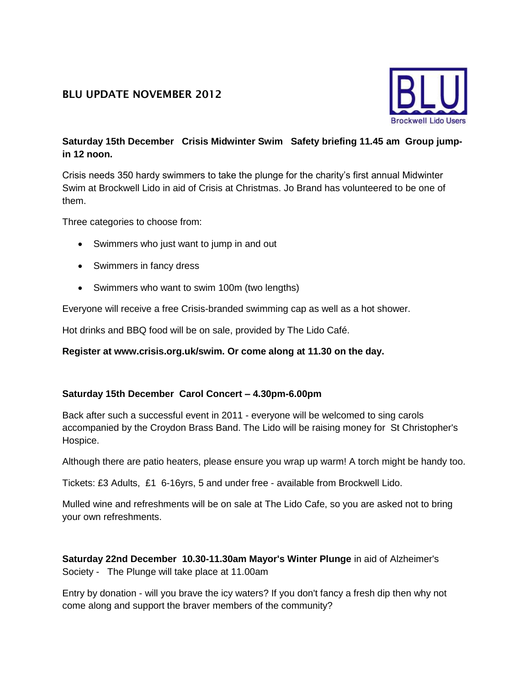# **BLU UPDATE NOVEMBER 2012**



## **Saturday 15th December Crisis Midwinter Swim Safety briefing 11.45 am Group jumpin 12 noon.**

Crisis needs 350 hardy swimmers to take the plunge for the charity's first annual Midwinter Swim at Brockwell Lido in aid of Crisis at Christmas. Jo Brand has volunteered to be one of them.

Three categories to choose from:

- Swimmers who just want to jump in and out
- Swimmers in fancy dress
- Swimmers who want to swim 100m (two lengths)

Everyone will receive a free Crisis-branded swimming cap as well as a hot shower.

Hot drinks and BBQ food will be on sale, provided by The Lido Café.

#### **Register at www.crisis.org.uk/swim. Or come along at 11.30 on the day.**

### **Saturday 15th December Carol Concert – 4.30pm-6.00pm**

Back after such a successful event in 2011 - everyone will be welcomed to sing carols accompanied by the Croydon Brass Band. The Lido will be raising money for St Christopher's Hospice.

Although there are patio heaters, please ensure you wrap up warm! A torch might be handy too.

Tickets: £3 Adults, £1 6-16yrs, 5 and under free - available from Brockwell Lido.

Mulled wine and refreshments will be on sale at The Lido Cafe, so you are asked not to bring your own refreshments.

### **Saturday 22nd December 10.30-11.30am Mayor's Winter Plunge** in aid of Alzheimer's Society - The Plunge will take place at 11.00am

Entry by donation - will you brave the icy waters? If you don't fancy a fresh dip then why not come along and support the braver members of the community?